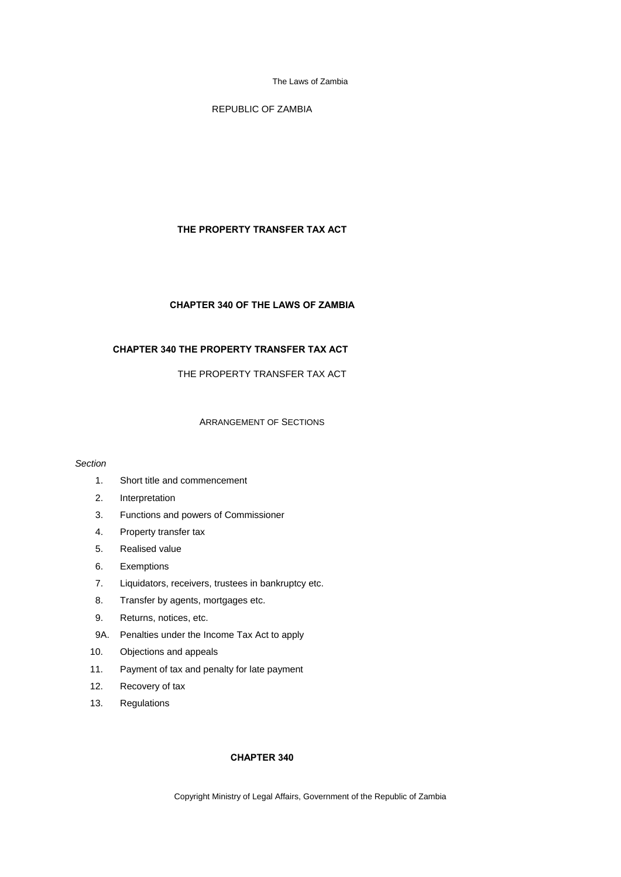REPUBLIC OF ZAMBIA

## **THE PROPERTY TRANSFER TAX ACT**

## **CHAPTER 340 OF THE LAWS OF ZAMBIA**

# **CHAPTER 340 THE PROPERTY TRANSFER TAX ACT**

THE PROPERTY TRANSFER TAX ACT

## ARRANGEMENT OF SECTIONS

### *Section*

- 1. Short title and commencement
- 2. Interpretation
- 3. Functions and powers of Commissioner
- 4. Property transfer tax
- 5. Realised value
- 6. Exemptions
- 7. Liquidators, receivers, trustees in bankruptcy etc.
- 8. Transfer by agents, mortgages etc.
- 9. Returns, notices, etc.
- 9A. Penalties under the Income Tax Act to apply
- 10. Objections and appeals
- 11. Payment of tax and penalty for late payment
- 12. Recovery of tax
- 13. Regulations

## **CHAPTER 340**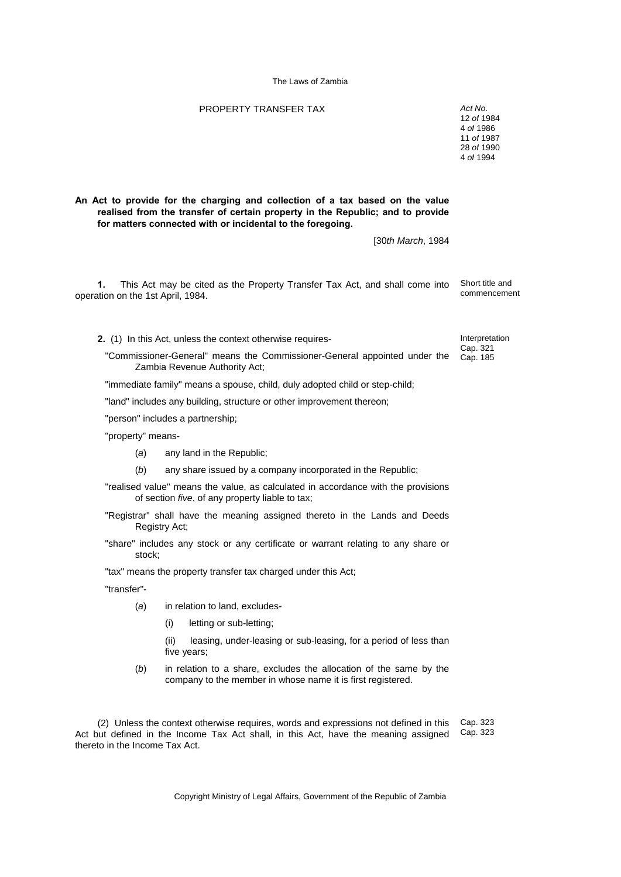## PROPERTY TRANSFER TAX *Act No*.

**An Act to provide for the charging and collection of a tax based on the value realised from the transfer of certain property in the Republic; and to provide for matters connected with or incidental to the foregoing.**

[30*th March*, 1984

**1.** This Act may be cited as the Property Transfer Tax Act, and shall come into operation on the 1st April, 1984. Short title and commencement

**2.** (1) In this Act, unless the context otherwise requires-

"Commissioner-General" means the Commissioner-General appointed under the Zambia Revenue Authority Act;

"immediate family" means a spouse, child, duly adopted child or step-child;

"land" includes any building, structure or other improvement thereon;

"person" includes a partnership;

"property" means-

- (*a*) any land in the Republic;
- (*b*) any share issued by a company incorporated in the Republic;
- "realised value" means the value, as calculated in accordance with the provisions of section *five*, of any property liable to tax;
- "Registrar" shall have the meaning assigned thereto in the Lands and Deeds Registry Act;

"share" includes any stock or any certificate or warrant relating to any share or stock;

"tax" means the property transfer tax charged under this Act;

"transfer"-

- (*a*) in relation to land, excludes-
	- (i) letting or sub-letting;

 (ii) leasing, under-leasing or sub-leasing, for a period of less than five years;

(*b*) in relation to a share, excludes the allocation of the same by the company to the member in whose name it is first registered.

(2) Unless the context otherwise requires, words and expressions not defined in this Act but defined in the Income Tax Act shall, in this Act, have the meaning assigned thereto in the Income Tax Act. Cap. 323 Cap. 323

Copyright Ministry of Legal Affairs, Government of the Republic of Zambia

Interpretation Cap. 321 Cap. 185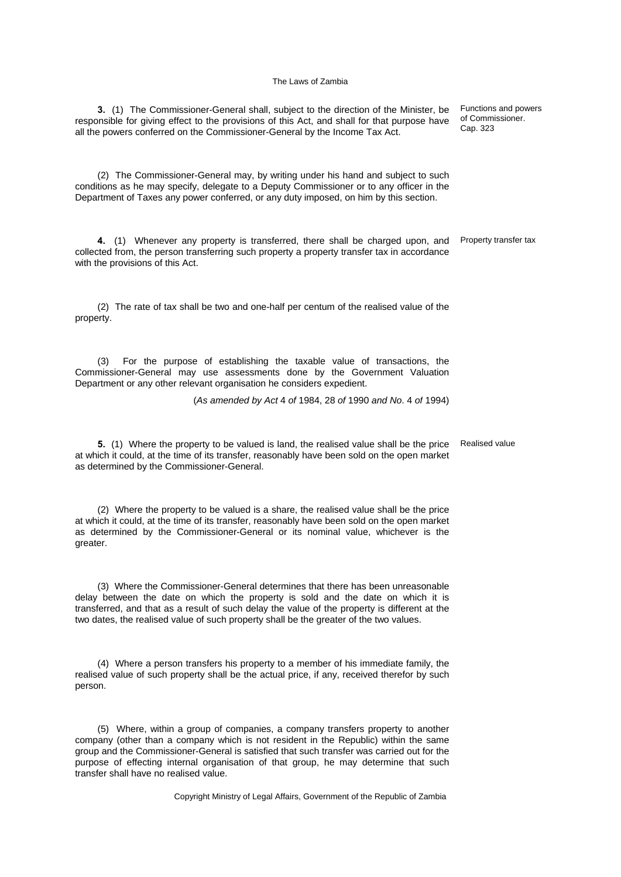**3.** (1) The Commissioner-General shall, subject to the direction of the Minister, be responsible for giving effect to the provisions of this Act, and shall for that purpose have

all the powers conferred on the Commissioner-General by the Income Tax Act. (2) The Commissioner-General may, by writing under his hand and subject to such conditions as he may specify, delegate to a Deputy Commissioner or to any officer in the Department of Taxes any power conferred, or any duty imposed, on him by this section. **4.** (1) Whenever any property is transferred, there shall be charged upon, and collected from, the person transferring such property a property transfer tax in accordance with the provisions of this Act. Property transfer tax (2) The rate of tax shall be two and one-half per centum of the realised value of the property. (3) For the purpose of establishing the taxable value of transactions, the Commissioner-General may use assessments done by the Government Valuation Department or any other relevant organisation he considers expedient. (*As amended by Act* 4 *of* 1984, 28 *of* 1990 *and No*. 4 *of* 1994)

**5.** (1) Where the property to be valued is land, the realised value shall be the price at which it could, at the time of its transfer, reasonably have been sold on the open market as determined by the Commissioner-General.

(2) Where the property to be valued is a share, the realised value shall be the price at which it could, at the time of its transfer, reasonably have been sold on the open market as determined by the Commissioner-General or its nominal value, whichever is the greater.

(3) Where the Commissioner-General determines that there has been unreasonable delay between the date on which the property is sold and the date on which it is transferred, and that as a result of such delay the value of the property is different at the two dates, the realised value of such property shall be the greater of the two values.

(4) Where a person transfers his property to a member of his immediate family, the realised value of such property shall be the actual price, if any, received therefor by such person.

(5) Where, within a group of companies, a company transfers property to another company (other than a company which is not resident in the Republic) within the same group and the Commissioner-General is satisfied that such transfer was carried out for the purpose of effecting internal organisation of that group, he may determine that such transfer shall have no realised value.

Copyright Ministry of Legal Affairs, Government of the Republic of Zambia

Functions and powers of Commissioner. Cap. 323

Realised value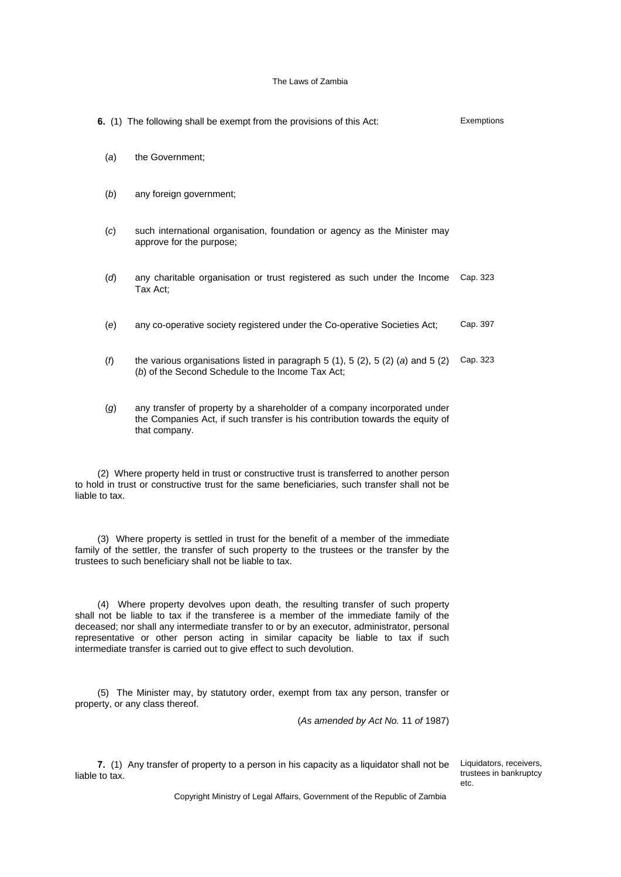|                                                                                                                                                                                                                                                | 6. (1) The following shall be exempt from the provisions of this Act:                                                                                                       | Exemptions |  |
|------------------------------------------------------------------------------------------------------------------------------------------------------------------------------------------------------------------------------------------------|-----------------------------------------------------------------------------------------------------------------------------------------------------------------------------|------------|--|
| (a)                                                                                                                                                                                                                                            | the Government;                                                                                                                                                             |            |  |
| (b)                                                                                                                                                                                                                                            | any foreign government;                                                                                                                                                     |            |  |
| (c)                                                                                                                                                                                                                                            | such international organisation, foundation or agency as the Minister may<br>approve for the purpose;                                                                       |            |  |
| (d)                                                                                                                                                                                                                                            | any charitable organisation or trust registered as such under the Income<br>Tax Act;                                                                                        | Cap. 323   |  |
| (e)                                                                                                                                                                                                                                            | any co-operative society registered under the Co-operative Societies Act;                                                                                                   | Cap. 397   |  |
| (1)                                                                                                                                                                                                                                            | the various organisations listed in paragraph $5(1)$ , $5(2)$ , $5(2)(a)$ and $5(2)$<br>(b) of the Second Schedule to the Income Tax Act;                                   | Cap. 323   |  |
| (g)                                                                                                                                                                                                                                            | any transfer of property by a shareholder of a company incorporated under<br>the Companies Act, if such transfer is his contribution towards the equity of<br>that company. |            |  |
| (2) Where property held in trust or constructive trust is transferred to another person<br>to hold in trust or constructive trust for the same beneficiaries, such transfer shall not be<br>liable to tax.                                     |                                                                                                                                                                             |            |  |
| (3) Where property is settled in trust for the benefit of a member of the immediate<br>family of the settler, the transfer of such property to the trustees or the transfer by the<br>trustees to such beneficiary shall not be liable to tax. |                                                                                                                                                                             |            |  |
| (4) Where property devolves upon death, the resulting transfer of such property<br>shall not be liable to tax if the transferee is a member of the immediate family of the                                                                     |                                                                                                                                                                             |            |  |

deceased; nor shall any intermediate transfer to or by an executor, administrator, personal representative or other person acting in similar capacity be liable to tax if such intermediate transfer is carried out to give effect to such devolution.

(5) The Minister may, by statutory order, exempt from tax any person, transfer or property, or any class thereof.

(*As amended by Act No.* 11 *of* 1987)

**7.** (1) Any transfer of property to a person in his capacity as a liquidator shall not be liable to tax.

Liquidators, receivers, trustees in bankruptcy etc.

Copyright Ministry of Legal Affairs, Government of the Republic of Zambia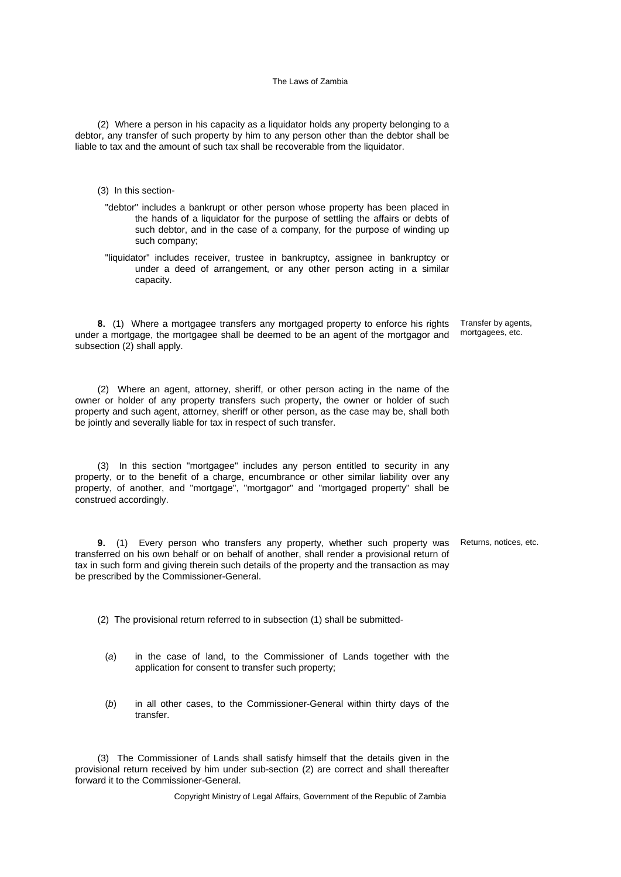(2) Where a person in his capacity as a liquidator holds any property belonging to a debtor, any transfer of such property by him to any person other than the debtor shall be liable to tax and the amount of such tax shall be recoverable from the liquidator.

- (3) In this section-
	- "debtor" includes a bankrupt or other person whose property has been placed in the hands of a liquidator for the purpose of settling the affairs or debts of such debtor, and in the case of a company, for the purpose of winding up such company;
	- "liquidator" includes receiver, trustee in bankruptcy, assignee in bankruptcy or under a deed of arrangement, or any other person acting in a similar capacity.

**8.** (1) Where a mortgagee transfers any mortgaged property to enforce his rights under a mortgage, the mortgagee shall be deemed to be an agent of the mortgagor and subsection (2) shall apply. Transfer by agents, mortgagees, etc.

(2) Where an agent, attorney, sheriff, or other person acting in the name of the owner or holder of any property transfers such property, the owner or holder of such property and such agent, attorney, sheriff or other person, as the case may be, shall both be jointly and severally liable for tax in respect of such transfer.

(3) In this section "mortgagee" includes any person entitled to security in any property, or to the benefit of a charge, encumbrance or other similar liability over any property, of another, and "mortgage", "mortgagor" and "mortgaged property" shall be construed accordingly.

**9.** (1) Every person who transfers any property, whether such property was transferred on his own behalf or on behalf of another, shall render a provisional return of tax in such form and giving therein such details of the property and the transaction as may be prescribed by the Commissioner-General. Returns, notices, etc.

(2) The provisional return referred to in subsection (1) shall be submitted-

- (*a*) in the case of land, to the Commissioner of Lands together with the application for consent to transfer such property;
- (*b*) in all other cases, to the Commissioner-General within thirty days of the transfer.

(3) The Commissioner of Lands shall satisfy himself that the details given in the provisional return received by him under sub-section (2) are correct and shall thereafter forward it to the Commissioner-General.

Copyright Ministry of Legal Affairs, Government of the Republic of Zambia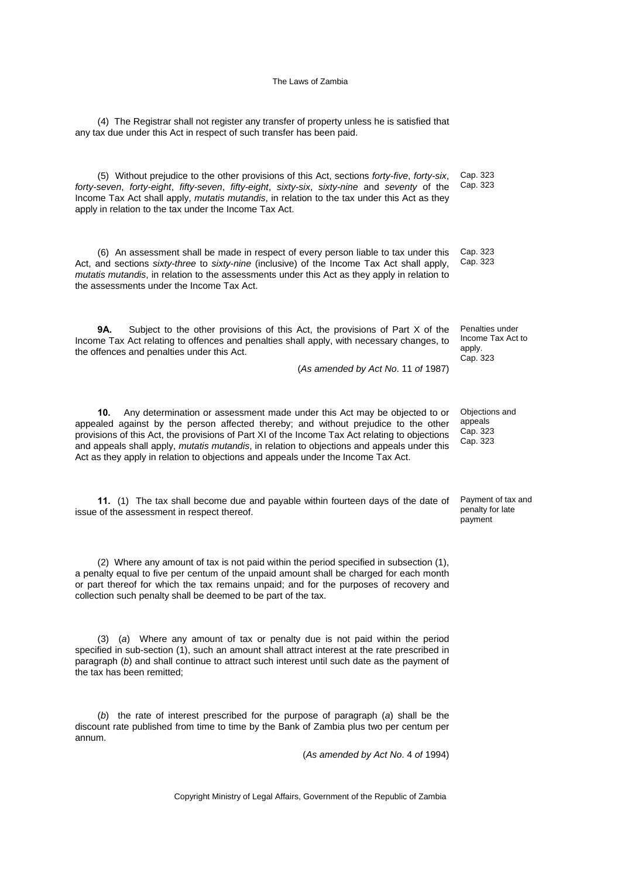(4) The Registrar shall not register any transfer of property unless he is satisfied that any tax due under this Act in respect of such transfer has been paid.

(5) Without prejudice to the other provisions of this Act, sections *forty-five*, *forty-six*, *forty-seven*, *forty-eight*, *fifty-seven*, *fifty-eight*, *sixty-six*, *sixty-nine* and *seventy* of the Income Tax Act shall apply, *mutatis mutandis*, in relation to the tax under this Act as they apply in relation to the tax under the Income Tax Act. Cap. 323

(6) An assessment shall be made in respect of every person liable to tax under this Act, and sections *sixty-three* to *sixty-nine* (inclusive) of the Income Tax Act shall apply, *mutatis mutandis*, in relation to the assessments under this Act as they apply in relation to the assessments under the Income Tax Act.

**9A.** Subject to the other provisions of this Act, the provisions of Part X of the Income Tax Act relating to offences and penalties shall apply, with necessary changes, to the offences and penalties under this Act.

(*As amended by Act No*. 11 *of* 1987)

**10.** Any determination or assessment made under this Act may be objected to or appealed against by the person affected thereby; and without prejudice to the other provisions of this Act, the provisions of Part XI of the Income Tax Act relating to objections and appeals shall apply, *mutatis mutandis*, in relation to objections and appeals under this Act as they apply in relation to objections and appeals under the Income Tax Act.

**11.** (1) The tax shall become due and payable within fourteen days of the date of issue of the assessment in respect thereof.

(2) Where any amount of tax is not paid within the period specified in subsection (1), a penalty equal to five per centum of the unpaid amount shall be charged for each month or part thereof for which the tax remains unpaid; and for the purposes of recovery and collection such penalty shall be deemed to be part of the tax.

(3) (*a*) Where any amount of tax or penalty due is not paid within the period specified in sub-section (1), such an amount shall attract interest at the rate prescribed in paragraph (*b*) and shall continue to attract such interest until such date as the payment of the tax has been remitted;

(*b*) the rate of interest prescribed for the purpose of paragraph (*a*) shall be the discount rate published from time to time by the Bank of Zambia plus two per centum per annum.

(*As amended by Act No*. 4 *of* 1994)

Cap. 323

Cap. 323 Cap. 323

Penalties under Income Tax Act to apply. Cap. 323

Objections and appeals Cap. 323 Cap. 323

Payment of tax and penalty for late payment